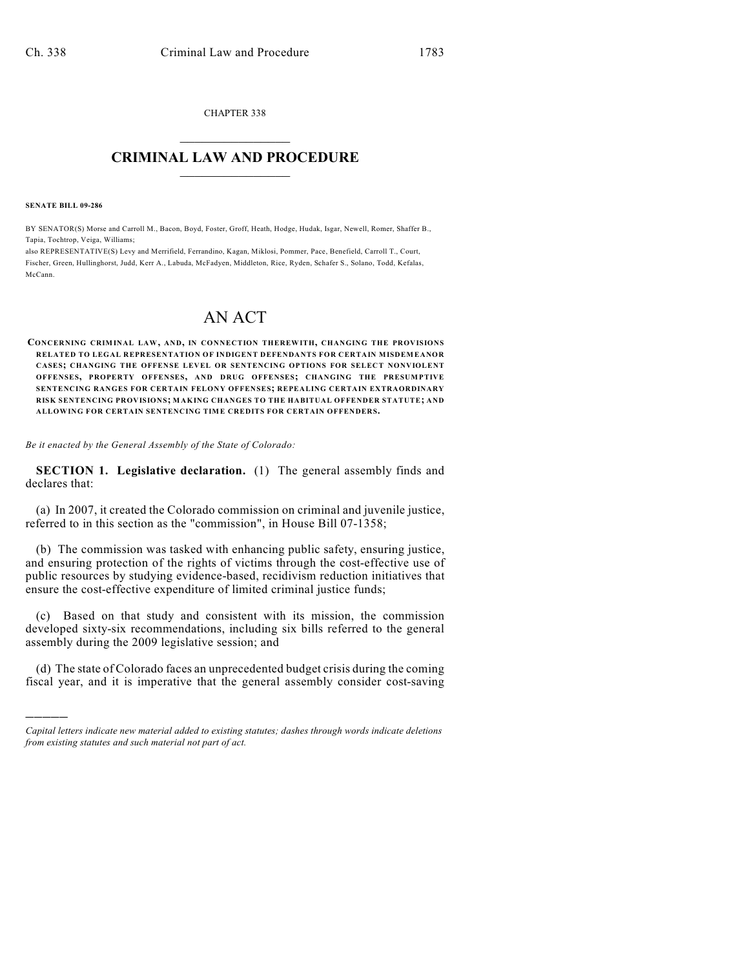CHAPTER 338  $\overline{\phantom{a}}$  . The set of the set of the set of the set of the set of the set of the set of the set of the set of the set of the set of the set of the set of the set of the set of the set of the set of the set of the set o

## **CRIMINAL LAW AND PROCEDURE**  $\frac{1}{2}$  ,  $\frac{1}{2}$  ,  $\frac{1}{2}$  ,  $\frac{1}{2}$  ,  $\frac{1}{2}$  ,  $\frac{1}{2}$  ,  $\frac{1}{2}$

**SENATE BILL 09-286**

)))))

BY SENATOR(S) Morse and Carroll M., Bacon, Boyd, Foster, Groff, Heath, Hodge, Hudak, Isgar, Newell, Romer, Shaffer B., Tapia, Tochtrop, Veiga, Williams;

also REPRESENTATIVE(S) Levy and Merrifield, Ferrandino, Kagan, Miklosi, Pommer, Pace, Benefield, Carroll T., Court, Fischer, Green, Hullinghorst, Judd, Kerr A., Labuda, McFadyen, Middleton, Rice, Ryden, Schafer S., Solano, Todd, Kefalas, McCann.

## AN ACT

**CONCERNING CRIMINAL LAW, AND, IN CONNECTION THEREWITH, CHANGING THE PROVISIONS RELATED TO LEGAL REPRESENTATION OF INDIGENT DEFENDANTS FOR CERTAIN MISDEMEANOR CASES; CHANGING THE OFFENSE LEVEL OR SENTENCING OPTIONS FOR SELECT NONVIOLENT OFFENSES, PROPERTY OFFENSES, AND DRUG OFFENSES; CHANGING THE PRESUMPTIVE SENTENCING RANGES FOR CERTAIN FELONY OFFENSES; REPEALING CERTAIN EXTRAORDINARY RISK SENTENCING PROVISIONS; MAKING CHANGES TO THE HABITUAL OFFENDER STATUTE; AND ALLOWING FOR CERTAIN SENTENCING TIME CREDITS FOR CERTAIN OFFENDERS.**

*Be it enacted by the General Assembly of the State of Colorado:*

**SECTION 1. Legislative declaration.** (1) The general assembly finds and declares that:

(a) In 2007, it created the Colorado commission on criminal and juvenile justice, referred to in this section as the "commission", in House Bill 07-1358;

(b) The commission was tasked with enhancing public safety, ensuring justice, and ensuring protection of the rights of victims through the cost-effective use of public resources by studying evidence-based, recidivism reduction initiatives that ensure the cost-effective expenditure of limited criminal justice funds;

(c) Based on that study and consistent with its mission, the commission developed sixty-six recommendations, including six bills referred to the general assembly during the 2009 legislative session; and

(d) The state of Colorado faces an unprecedented budget crisis during the coming fiscal year, and it is imperative that the general assembly consider cost-saving

*Capital letters indicate new material added to existing statutes; dashes through words indicate deletions from existing statutes and such material not part of act.*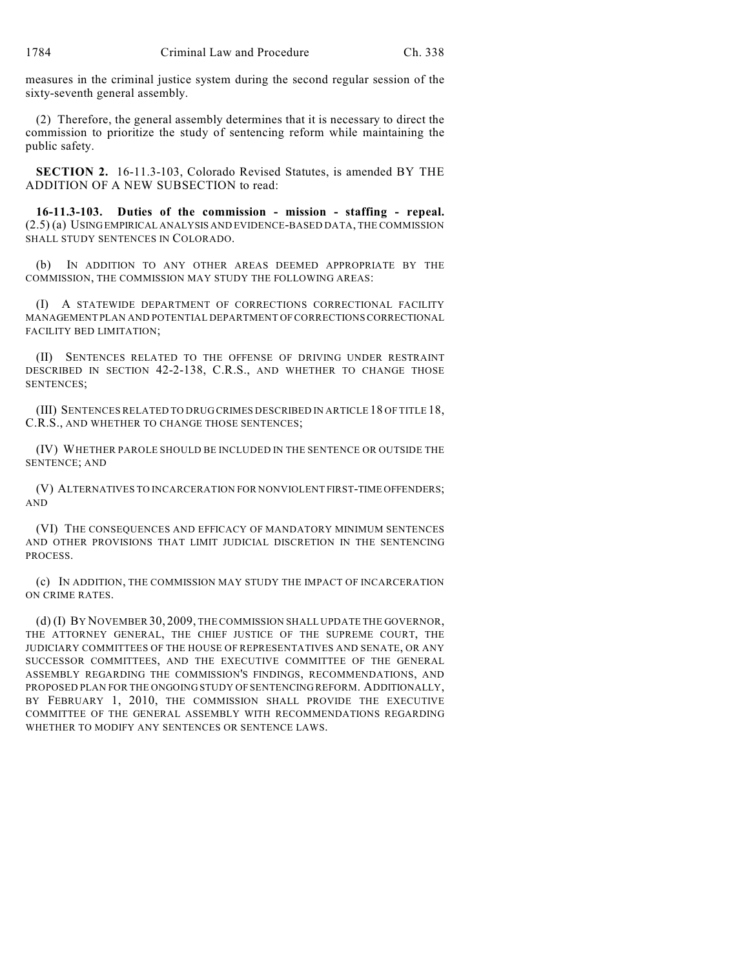measures in the criminal justice system during the second regular session of the sixty-seventh general assembly.

(2) Therefore, the general assembly determines that it is necessary to direct the commission to prioritize the study of sentencing reform while maintaining the public safety.

**SECTION 2.** 16-11.3-103, Colorado Revised Statutes, is amended BY THE ADDITION OF A NEW SUBSECTION to read:

**16-11.3-103. Duties of the commission - mission - staffing - repeal.** (2.5) (a) USING EMPIRICAL ANALYSIS AND EVIDENCE-BASED DATA, THE COMMISSION SHALL STUDY SENTENCES IN COLORADO.

(b) IN ADDITION TO ANY OTHER AREAS DEEMED APPROPRIATE BY THE COMMISSION, THE COMMISSION MAY STUDY THE FOLLOWING AREAS:

(I) A STATEWIDE DEPARTMENT OF CORRECTIONS CORRECTIONAL FACILITY MANAGEMENT PLAN AND POTENTIAL DEPARTMENT OF CORRECTIONS CORRECTIONAL FACILITY BED LIMITATION;

(II) SENTENCES RELATED TO THE OFFENSE OF DRIVING UNDER RESTRAINT DESCRIBED IN SECTION 42-2-138, C.R.S., AND WHETHER TO CHANGE THOSE SENTENCES;

(III) SENTENCES RELATED TO DRUG CRIMES DESCRIBED IN ARTICLE 18 OF TITLE 18, C.R.S., AND WHETHER TO CHANGE THOSE SENTENCES;

(IV) WHETHER PAROLE SHOULD BE INCLUDED IN THE SENTENCE OR OUTSIDE THE SENTENCE; AND

(V) ALTERNATIVES TO INCARCERATION FOR NONVIOLENT FIRST-TIME OFFENDERS; AND

(VI) THE CONSEQUENCES AND EFFICACY OF MANDATORY MINIMUM SENTENCES AND OTHER PROVISIONS THAT LIMIT JUDICIAL DISCRETION IN THE SENTENCING PROCESS.

(c) IN ADDITION, THE COMMISSION MAY STUDY THE IMPACT OF INCARCERATION ON CRIME RATES.

(d) (I) BY NOVEMBER 30, 2009, THE COMMISSION SHALL UPDATE THE GOVERNOR, THE ATTORNEY GENERAL, THE CHIEF JUSTICE OF THE SUPREME COURT, THE JUDICIARY COMMITTEES OF THE HOUSE OF REPRESENTATIVES AND SENATE, OR ANY SUCCESSOR COMMITTEES, AND THE EXECUTIVE COMMITTEE OF THE GENERAL ASSEMBLY REGARDING THE COMMISSION'S FINDINGS, RECOMMENDATIONS, AND PROPOSED PLAN FOR THE ONGOING STUDY OF SENTENCING REFORM. ADDITIONALLY, BY FEBRUARY 1, 2010, THE COMMISSION SHALL PROVIDE THE EXECUTIVE COMMITTEE OF THE GENERAL ASSEMBLY WITH RECOMMENDATIONS REGARDING WHETHER TO MODIFY ANY SENTENCES OR SENTENCE LAWS.